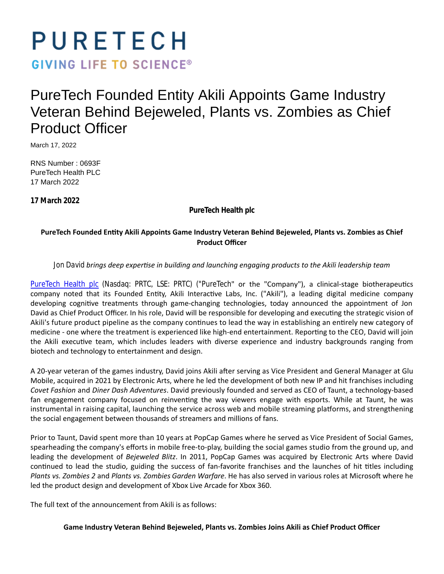# PURETECH **GIVING LIFE TO SCIENCE®**

# PureTech Founded Entity Akili Appoints Game Industry Veteran Behind Bejeweled, Plants vs. Zombies as Chief Product Officer

March 17, 2022

RNS Number : 0693F PureTech Health PLC 17 March 2022

**17 March 2022**

**PureTech Health plc**

## **PureTech Founded EnƟty Akili Appoints Game Industry Veteran Behind Bejeweled, Plants vs. Zombies as Chief Product Officer**

*Jon David brings deep experƟse in building and launching engaging products to the Akili leadership team*

[PureTech Health plc](https://puretechhealth.com/) (Nasdaq: PRTC, LSE: PRTC) ("PureTech" or the "Company"), a clinical-stage biotherapeutics company noted that its Founded Entity, Akili Interactive Labs, Inc. ("Akili"), a leading digital medicine company developing cognitive treatments through game-changing technologies, today announced the appointment of Jon David as Chief Product Officer. In his role, David will be responsible for developing and executing the strategic vision of Akili's future product pipeline as the company continues to lead the way in establishing an entirely new category of medicine - one where the treatment is experienced like high-end entertainment. Reporting to the CEO, David will join the Akili executive team, which includes leaders with diverse experience and industry backgrounds ranging from biotech and technology to entertainment and design.

A 20-year veteran of the games industry, David joins Akili after serving as Vice President and General Manager at Glu Mobile, acquired in 2021 by Electronic Arts, where he led the development of both new IP and hit franchises including *Covet Fashion* and *Diner Dash Adventures*. David previously founded and served as CEO of Taunt, a technology-based fan engagement company focused on reinventing the way viewers engage with esports. While at Taunt, he was instrumental in raising capital, launching the service across web and mobile streaming platforms, and strengthening the social engagement between thousands of streamers and millions of fans.

Prior to Taunt, David spent more than 10 years at PopCap Games where he served as Vice President of Social Games, spearheading the company's efforts in mobile free-to-play, building the social games studio from the ground up, and leading the development of *Bejeweled Blitz*. In 2011, PopCap Games was acquired by Electronic Arts where David continued to lead the studio, guiding the success of fan-favorite franchises and the launches of hit titles including *Plants vs. Zombies 2* and *Plants vs. Zombies Garden Warfare*. He has also served in various roles at Microsoft where he led the product design and development of Xbox Live Arcade for Xbox 360.

The full text of the announcement from Akili is as follows:

**Game Industry Veteran Behind Bejeweled, Plants vs. Zombies Joins Akili as Chief Product Officer**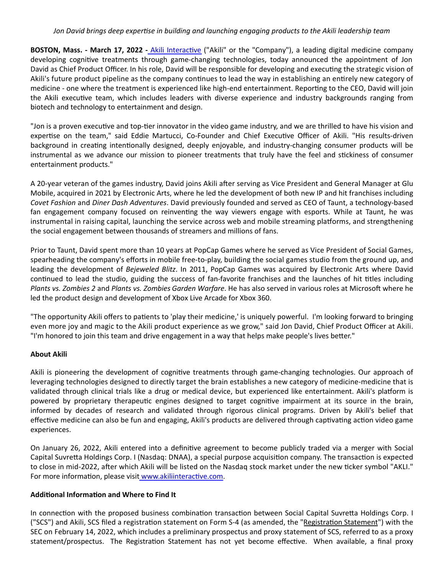#### Jon David brings deep expertise in building and launching engaging products to the Akili leadership team

**BOSTON, Mass. - March 17, 2022 -** Akili Interactive ("Akili" or the "Company"), a leading digital medicine company developing cognitive treatments through game-changing technologies, today announced the appointment of Jon David as Chief Product Officer. In his role, David will be responsible for developing and executing the strategic vision of Akili's future product pipeline as the company continues to lead the way in establishing an entirely new category of medicine - one where the treatment is experienced like high-end entertainment. Reporting to the CEO, David will join the Akili executive team, which includes leaders with diverse experience and industry backgrounds ranging from biotech and technology to entertainment and design.

"Jon is a proven executive and top-tier innovator in the video game industry, and we are thrilled to have his vision and expertise on the team," said Eddie Martucci, Co-Founder and Chief Executive Officer of Akili. "His results-driven background in creating intentionally designed, deeply enjoyable, and industry-changing consumer products will be instrumental as we advance our mission to pioneer treatments that truly have the feel and stickiness of consumer entertainment products."

A 20-year veteran of the games industry, David joins Akili after serving as Vice President and General Manager at Glu Mobile, acquired in 2021 by Electronic Arts, where he led the development of both new IP and hit franchises including *Covet Fashion* and *Diner Dash Adventures*. David previously founded and served as CEO of Taunt, a technology-based fan engagement company focused on reinventing the way viewers engage with esports. While at Taunt, he was instrumental in raising capital, launching the service across web and mobile streaming platforms, and strengthening the social engagement between thousands of streamers and millions of fans.

Prior to Taunt, David spent more than 10 years at PopCap Games where he served as Vice President of Social Games, spearheading the company's efforts in mobile free-to-play, building the social games studio from the ground up, and leading the development of *Bejeweled Blitz*. In 2011, PopCap Games was acquired by Electronic Arts where David continued to lead the studio, guiding the success of fan-favorite franchises and the launches of hit titles including *Plants vs. Zombies 2* and *Plants vs. Zombies Garden Warfare*. He has also served in various roles at Microsoft where he led the product design and development of Xbox Live Arcade for Xbox 360.

"The opportunity Akili offers to patients to 'play their medicine,' is uniquely powerful. I'm looking forward to bringing even more joy and magic to the Akili product experience as we grow," said Jon David, Chief Product Officer at Akili. "I'm honored to join this team and drive engagement in a way that helps make people's lives better."

#### **About Akili**

Akili is pioneering the development of cognitive treatments through game-changing technologies. Our approach of leveraging technologies designed to directly target the brain establishes a new category of medicine-medicine that is validated through clinical trials like a drug or medical device, but experienced like entertainment. Akili's platform is powered by proprietary therapeutic engines designed to target cognitive impairment at its source in the brain, informed by decades of research and validated through rigorous clinical programs. Driven by Akili's belief that effective medicine can also be fun and engaging, Akili's products are delivered through captivating action video game experiences.

On January 26, 2022, Akili entered into a definitive agreement to become publicly traded via a merger with Social Capital Suvretta Holdings Corp. I (Nasdaq: DNAA), a special purpose acquisition company. The transaction is expected to close in mid-2022, after which Akili will be listed on the Nasdaq stock market under the new ticker symbol "AKLI." For more information, please visit www.akiliinteractive.com.

#### **Additional Information and Where to Find It**

In connection with the proposed business combination transaction between Social Capital Suvretta Holdings Corp. I ("SCS") and Akili, SCS filed a registration statement on Form S-4 (as amended, the "Registration Statement") with the SEC on February 14, 2022, which includes a preliminary prospectus and proxy statement of SCS, referred to as a proxy statement/prospectus. The Registration Statement has not yet become effective. When available, a final proxy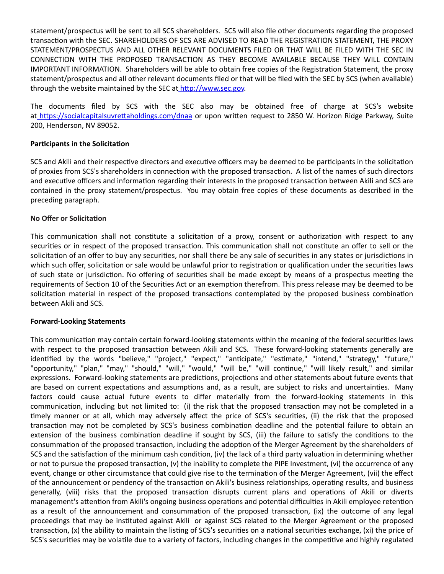statement/prospectus will be sent to all SCS shareholders. SCS will also file other documents regarding the proposed transacƟon with the SEC. SHAREHOLDERS OF SCS ARE ADVISED TO READ THE REGISTRATION STATEMENT, THE PROXY STATEMENT/PROSPECTUS AND ALL OTHER RELEVANT DOCUMENTS FILED OR THAT WILL BE FILED WITH THE SEC IN CONNECTION WITH THE PROPOSED TRANSACTION AS THEY BECOME AVAILABLE BECAUSE THEY WILL CONTAIN IMPORTANT INFORMATION. Shareholders will be able to obtain free copies of the Registration Statement, the proxy statement/prospectus and all other relevant documents filed or that will be filed with the SEC by SCS (when available) through the website maintained by the SEC at http://www.sec.gov.

The documents filed by SCS with the SEC also may be obtained free of charge at SCS's website at https://socialcapitalsuvrettaholdings.com/dnaa or upon written request to 2850 W. Horizon Ridge Parkway, Suite 200, Henderson, NV 89052.

### **Participants in the Solicitation**

SCS and Akili and their respective directors and executive officers may be deemed to be participants in the solicitation of proxies from SCS's shareholders in connection with the proposed transaction. A list of the names of such directors and executive officers and information regarding their interests in the proposed transaction between Akili and SCS are contained in the proxy statement/prospectus. You may obtain free copies of these documents as described in the preceding paragraph.

#### **No Offer or SolicitaƟon**

This communication shall not constitute a solicitation of a proxy, consent or authorization with respect to any securities or in respect of the proposed transaction. This communication shall not constitute an offer to sell or the solicitation of an offer to buy any securities, nor shall there be any sale of securities in any states or jurisdictions in which such offer, solicitation or sale would be unlawful prior to registration or qualification under the securities laws of such state or jurisdiction. No offering of securities shall be made except by means of a prospectus meeting the requirements of Section 10 of the Securities Act or an exemption therefrom. This press release may be deemed to be solicitation material in respect of the proposed transactions contemplated by the proposed business combination between Akili and SCS.

#### **Forward-Looking Statements**

This communication may contain certain forward-looking statements within the meaning of the federal securities laws with respect to the proposed transaction between Akili and SCS. These forward-looking statements generally are identified by the words "believe," "project," "expect," "anticipate," "estimate," "intend," "strategy," "future," "opportunity," "plan," "may," "should," "will," "would," "will be," "will continue," "will likely result," and similar expressions. Forward-looking statements are predictions, projections and other statements about future events that are based on current expectations and assumptions and, as a result, are subject to risks and uncertainties. Many factors could cause actual future events to differ materially from the forward-looking statements in this communication, including but not limited to: (i) the risk that the proposed transaction may not be completed in a timely manner or at all, which may adversely affect the price of SCS's securities, (ii) the risk that the proposed transaction may not be completed by SCS's business combination deadline and the potential failure to obtain an extension of the business combination deadline if sought by SCS, (iii) the failure to satisfy the conditions to the consummation of the proposed transaction, including the adoption of the Merger Agreement by the shareholders of SCS and the satisfaction of the minimum cash condition, (iv) the lack of a third party valuation in determining whether or not to pursue the proposed transaction,  $(v)$  the inability to complete the PIPE Investment,  $(vi)$  the occurrence of any event, change or other circumstance that could give rise to the termination of the Merger Agreement, (vii) the effect of the announcement or pendency of the transaction on Akili's business relationships, operating results, and business generally, (viii) risks that the proposed transaction disrupts current plans and operations of Akili or diverts management's attention from Akili's ongoing business operations and potential difficulties in Akili employee retention as a result of the announcement and consummation of the proposed transaction, (ix) the outcome of any legal proceedings that may be instituted against Akili or against SCS related to the Merger Agreement or the proposed transaction, (x) the ability to maintain the listing of SCS's securities on a national securities exchange, (xi) the price of SCS's securities may be volatile due to a variety of factors, including changes in the competitive and highly regulated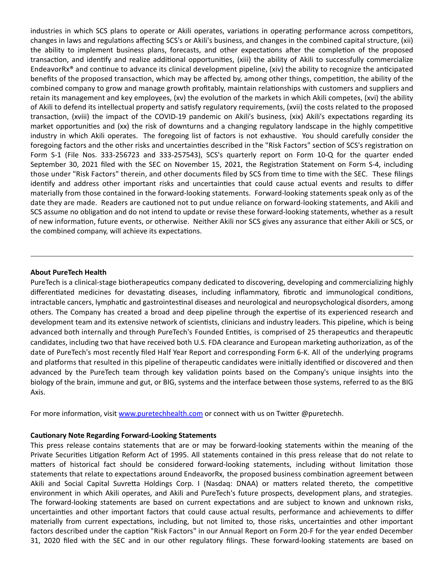industries in which SCS plans to operate or Akili operates, variations in operating performance across competitors, changes in laws and regulations affecting SCS's or Akili's business, and changes in the combined capital structure, (xii) the ability to implement business plans, forecasts, and other expectations after the completion of the proposed transaction, and identify and realize additional opportunities, (xiii) the ability of Akili to successfully commercialize EndeavorRx® and continue to advance its clinical development pipeline, (xiv) the ability to recognize the anticipated benefits of the proposed transaction, which may be affected by, among other things, competition, the ability of the combined company to grow and manage growth profitably, maintain relationships with customers and suppliers and retain its management and key employees, (xv) the evolution of the markets in which Akili competes, (xvi) the ability of Akili to defend its intellectual property and satisfy regulatory requirements, (xvii) the costs related to the proposed transaction, (xviii) the impact of the COVID-19 pandemic on Akili's business, (xix) Akili's expectations regarding its market opportunities and (xx) the risk of downturns and a changing regulatory landscape in the highly competitive industry in which Akili operates. The foregoing list of factors is not exhaustive. You should carefully consider the foregoing factors and the other risks and uncertainties described in the "Risk Factors" section of SCS's registration on Form S-1 (File Nos. 333-256723 and 333-257543), SCS's quarterly report on Form 10-Q for the quarter ended September 30, 2021 filed with the SEC on November 15, 2021, the Registration Statement on Form S-4, including those under "Risk Factors" therein, and other documents filed by SCS from time to time with the SEC. These filings identify and address other important risks and uncertainties that could cause actual events and results to differ materially from those contained in the forward-looking statements. Forward-looking statements speak only as of the date they are made. Readers are cautioned not to put undue reliance on forward-looking statements, and Akili and SCS assume no obligation and do not intend to update or revise these forward-looking statements, whether as a result of new information, future events, or otherwise. Neither Akili nor SCS gives any assurance that either Akili or SCS, or the combined company, will achieve its expectations.

#### **About PureTech Health**

PureTech is a clinical-stage biotherapeutics company dedicated to discovering, developing and commercializing highly differentiated medicines for devastating diseases, including inflammatory, fibrotic and immunological conditions, intractable cancers, lymphatic and gastrointestinal diseases and neurological and neuropsychological disorders, among others. The Company has created a broad and deep pipeline through the expertise of its experienced research and development team and its extensive network of scientists, clinicians and industry leaders. This pipeline, which is being advanced both internally and through PureTech's Founded Entities, is comprised of 25 therapeutics and therapeutic candidates, including two that have received both U.S. FDA clearance and European marketing authorization, as of the date of PureTech's most recently filed Half Year Report and corresponding Form 6-K. All of the underlying programs and platforms that resulted in this pipeline of therapeutic candidates were initially identified or discovered and then advanced by the PureTech team through key validation points based on the Company's unique insights into the biology of the brain, immune and gut, or BIG, systems and the interface between those systems, referred to as the BIG Axis.

For more information, visit [www.puretechhealth.com o](http://www.puretechhealth.com/)r connect with us on Twitter @puretechh.

#### **CauƟonary Note Regarding Forward-Looking Statements**

This press release contains statements that are or may be forward-looking statements within the meaning of the Private Securities Litigation Reform Act of 1995. All statements contained in this press release that do not relate to matters of historical fact should be considered forward-looking statements, including without limitation those statements that relate to expectations around EndeavorRx, the proposed business combination agreement between Akili and Social Capital Suvretta Holdings Corp. I (Nasdaq: DNAA) or matters related thereto, the competitive environment in which Akili operates, and Akili and PureTech's future prospects, development plans, and strategies. The forward-looking statements are based on current expectations and are subject to known and unknown risks, uncertainƟes and other important factors that could cause actual results, performance and achievements to differ materially from current expectations, including, but not limited to, those risks, uncertainties and other important factors described under the caption "Risk Factors" in our Annual Report on Form 20-F for the year ended December 31, 2020 filed with the SEC and in our other regulatory filings. These forward-looking statements are based on